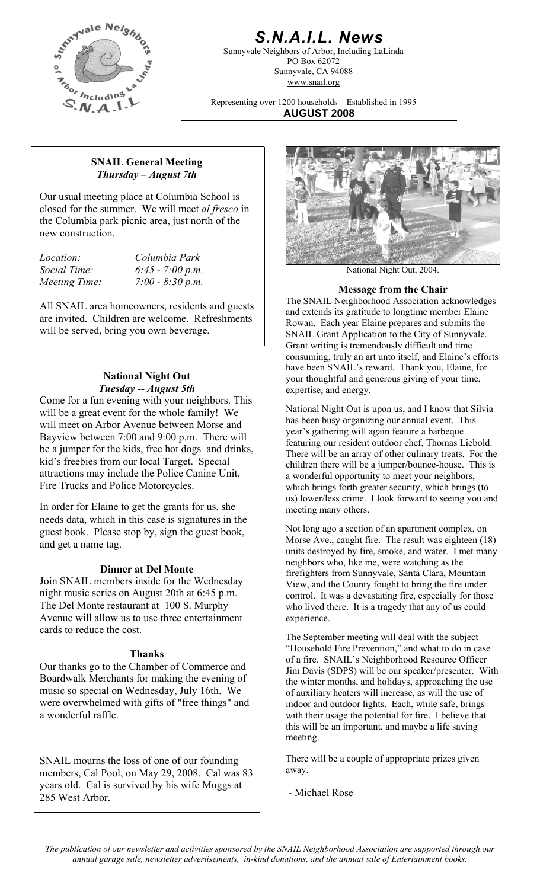

# *S.N.A.I.L. News*

Sunnyvale Neighbors of Arbor, Including LaLinda PO Box 62072 Sunnyvale, CA 94088 www.snail.org

Representing over 1200 households Established in 1995 **AUGUST 2008**

### **SNAIL General Meeting**  *Thursday – August 7th*

Our usual meeting place at Columbia School is closed for the summer. We will meet *al fresco* in the Columbia park picnic area, just north of the new construction.

*Location: Columbia Park* 

All SNAIL area homeowners, residents and guests are invited. Children are welcome. Refreshments will be served, bring you own beverage.

### **National Night Out**  *Tuesday -- August 5th*

Come for a fun evening with your neighbors. This will be a great event for the whole family! We will meet on Arbor Avenue between Morse and Bayview between 7:00 and 9:00 p.m. There will be a jumper for the kids, free hot dogs and drinks, kid's freebies from our local Target. Special attractions may include the Police Canine Unit, Fire Trucks and Police Motorcycles.

In order for Elaine to get the grants for us, she meeting many others. needs data, which in this case is signatures in the guest book. Please stop by, sign the guest book, and get a name tag.

## **Dinner at Del Monte**

Join SNAIL members inside for the Wednesday night music series on August 20th at 6:45 p.m. The Del Monte restaurant at 100 S. Murphy Avenue will allow us to use three entertainment cards to reduce the cost.

### **Thanks**

Our thanks go to the Chamber of Commerce and Boardwalk Merchants for making the evening of music so special on Wednesday, July 16th. We were overwhelmed with gifts of "free things" and a wonderful raffle.

SNAIL mourns the loss of one of our founding members, Cal Pool, on May 29, 2008. Cal was 83 years old. Cal is survived by his wife Muggs at 285 West Arbor.



*Social Time:* 6:45 - 7:00 p.m. National Night Out, 2004.

# *Meeting Time:* 7:00 - 8:30 p.m. *Meeting Time:* **7:00 - 8:30 p.m. 1989 Message from the Chair**

The SNAIL Neighborhood Association acknowledges and extends its gratitude to longtime member Elaine Rowan. Each year Elaine prepares and submits the SNAIL Grant Application to the City of Sunnyvale. Grant writing is tremendously difficult and time consuming, truly an art unto itself, and Elaine's efforts have been SNAIL's reward. Thank you, Elaine, for your thoughtful and generous giving of your time, expertise, and energy.

National Night Out is upon us, and I know that Silvia has been busy organizing our annual event. This year's gathering will again feature a barbeque featuring our resident outdoor chef, Thomas Liebold. There will be an array of other culinary treats. For the children there will be a jumper/bounce-house. This is a wonderful opportunity to meet your neighbors, which brings forth greater security, which brings (to us) lower/less crime. I look forward to seeing you and

Not long ago a section of an apartment complex, on Morse Ave., caught fire. The result was eighteen (18) units destroyed by fire, smoke, and water. I met many neighbors who, like me, were watching as the firefighters from Sunnyvale, Santa Clara, Mountain View, and the County fought to bring the fire under control. It was a devastating fire, especially for those who lived there. It is a tragedy that any of us could experience.

The September meeting will deal with the subject "Household Fire Prevention," and what to do in case of a fire. SNAIL's Neighborhood Resource Officer Jim Davis (SDPS) will be our speaker/presenter. With the winter months, and holidays, approaching the use of auxiliary heaters will increase, as will the use of indoor and outdoor lights. Each, while safe, brings with their usage the potential for fire. I believe that this will be an important, and maybe a life saving meeting.

There will be a couple of appropriate prizes given away.

- Michael Rose